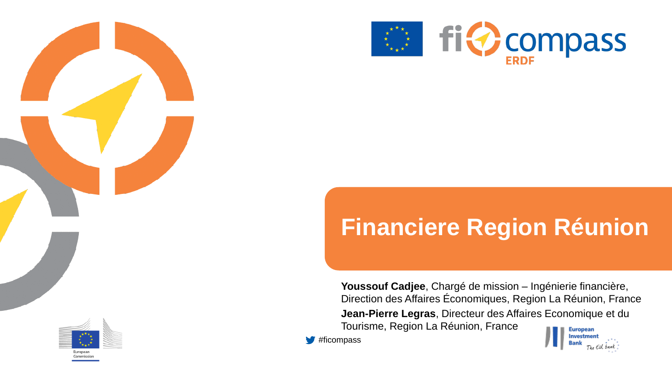



# **Financiere Region Réunion**

**Youssouf Cadjee**, Chargé de mission – Ingénierie financière, Direction des Affaires Économiques, Region La Réunion, France **Jean-Pierre Legras**, Directeur des Affaires Economique et du Tourisme, Region La Réunion, France

**#ficompass** 

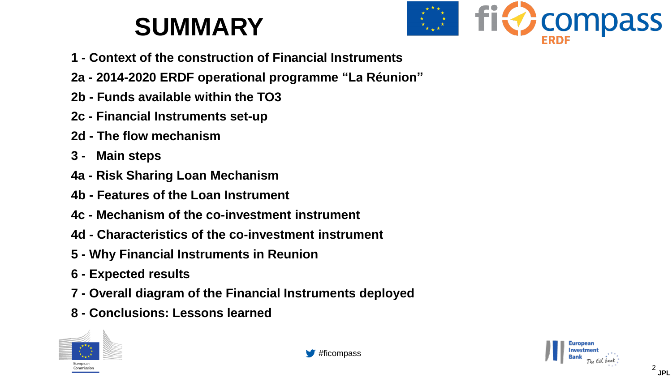# **SUMMARY**



- **1 - Context of the construction of Financial Instruments**
- **2a - 2014-2020 ERDF operational programme "La Réunion"**
- **2b - Funds available within the TO3**
- **2c - Financial Instruments set-up**
- **2d - The flow mechanism**
- **3 - Main steps**
- **4a - Risk Sharing Loan Mechanism**
- **4b - Features of the Loan Instrument**
- **4c - Mechanism of the co-investment instrument**
- **4d - Characteristics of the co-investment instrument**
- **5 - Why Financial Instruments in Reunion**
- **6 - Expected results**
- **7 - Overall diagram of the Financial Instruments deployed**
- **8 - Conclusions: Lessons learned**



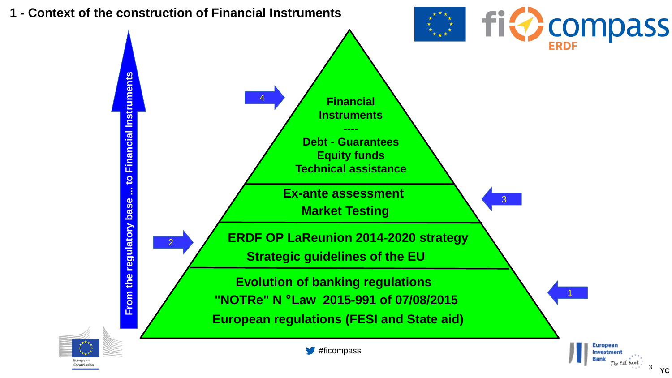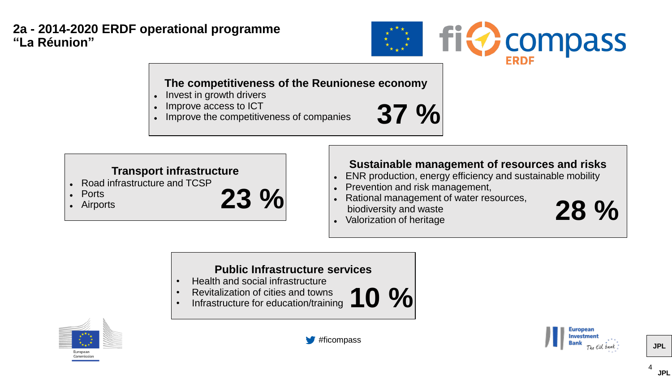#### **2a - 2014-2020 ERDF operational programme "La Réunion"**



#### **The competitiveness of the Reunionese economy**

- ⚫ Invest in growth drivers
- ⚫ Improve access to ICT
- ⚫ Improve the competitiveness of companies



#### **Transport infrastructure**

- ⚫ Road infrastructure and TCSP
- **Ports**
- Airports



#### **Sustainable management of resources and risks**

- ⚫ ENR production, energy efficiency and sustainable mobility
- ⚫ Prevention and risk management,
- ⚫ Rational management of water resources, biodiversity and waste 23 % Rational management of water resources,<br>biodiversity and waste<br>Valorization of heritage 28 %
	- ⚫ Valorization of heritage

#### **Public Infrastructure services**

- Health and social infrastructure
- Revitalization of cities and towns
- Revitalization of cities and towns<br>• Infrastructure for education/training **10** %









**JPL**

4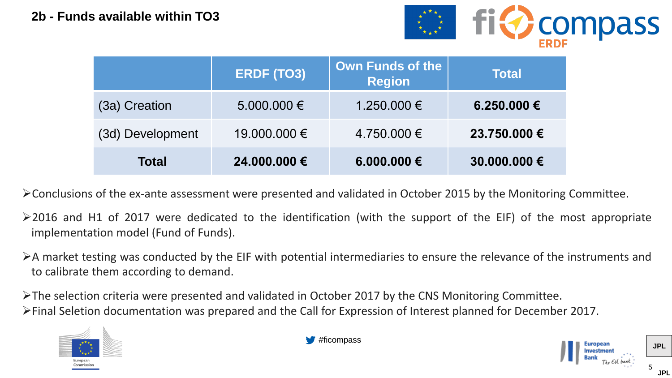

|                  | <b>ERDF (TO3)</b> | Own Funds of the<br><b>Region</b> | <b>Total</b> |
|------------------|-------------------|-----------------------------------|--------------|
| (3a) Creation    | $5.000.000 \in$   | 1.250.000 €                       | 6.250.000 €  |
| (3d) Development | 19.000.000 €      | 4.750.000 €                       | 23.750.000 € |
| <b>Total</b>     | 24.000.000 €      | 6.000.000 €                       | 30.000.000 € |

➢Conclusions of the ex-ante assessment were presented and validated in October 2015 by the Monitoring Committee.

- ➢2016 and H1 of 2017 were dedicated to the identification (with the support of the EIF) of the most appropriate implementation model (Fund of Funds).
- ➢A market testing was conducted by the EIF with potential intermediaries to ensure the relevance of the instruments and to calibrate them according to demand.

➢The selection criteria were presented and validated in October 2017 by the CNS Monitoring Committee. ➢Final Seletion documentation was prepared and the Call for Expression of Interest planned for December 2017.



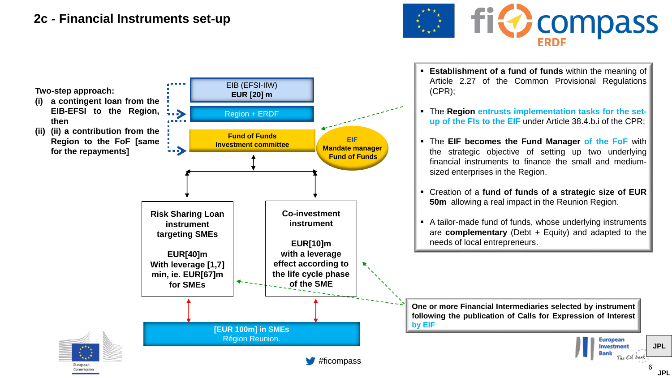#### **2c - Financial Instruments set-up**



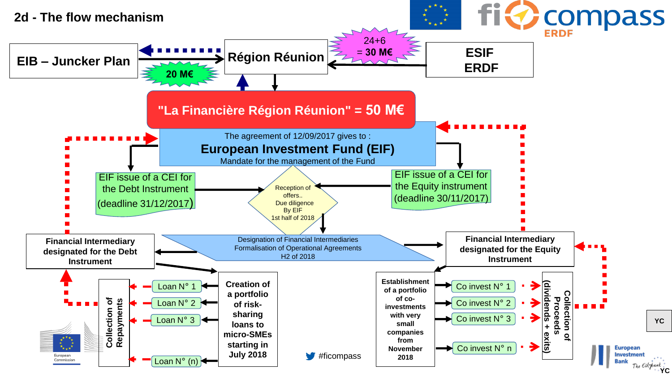![](_page_6_Figure_0.jpeg)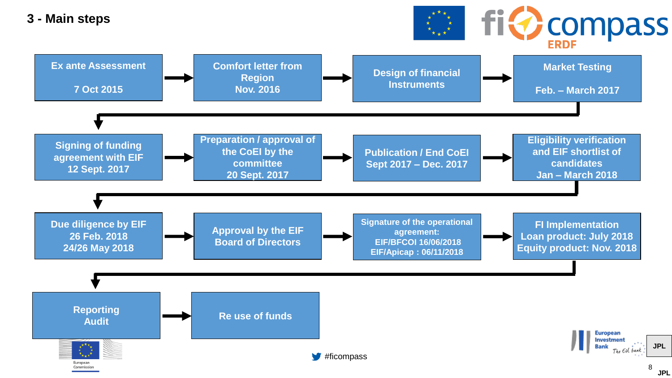![](_page_7_Figure_0.jpeg)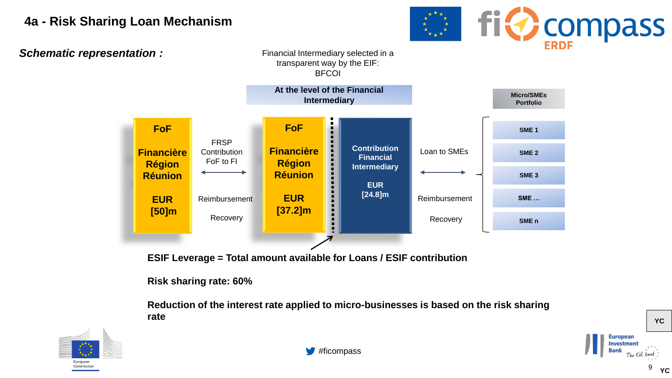# **4a - Risk Sharing Loan Mechanism**

*Schematic representation :*

Financial Intermediary selected in a transparent way by the EIF: **BFCOI** 

![](_page_8_Figure_3.jpeg)

**ESIF Leverage = Total amount available for Loans / ESIF contribution**

**Risk sharing rate: 60%**

**Reduction of the interest rate applied to micro-businesses is based on the risk sharing rate**

![](_page_8_Picture_7.jpeg)

![](_page_8_Picture_8.jpeg)

![](_page_8_Picture_9.jpeg)

**EXAMPLE SET OF STREET STATES** 

**YC**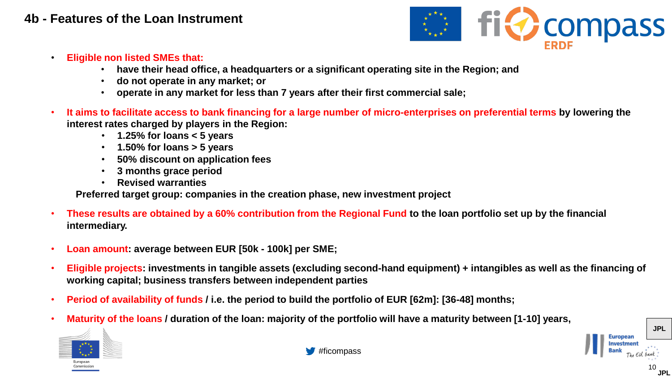#### **4b - Features of the Loan Instrument**

![](_page_9_Picture_1.jpeg)

- **Eligible non listed SMEs that:**
	- **have their head office, a headquarters or a significant operating site in the Region; and**
	- **do not operate in any market; or**
	- **operate in any market for less than 7 years after their first commercial sale;**
- **It aims to facilitate access to bank financing for a large number of micro-enterprises on preferential terms by lowering the interest rates charged by players in the Region:**
	- **1.25% for loans < 5 years**
	- **1.50% for loans > 5 years**
	- **50% discount on application fees**
	- **3 months grace period**
	- **Revised warranties**

**Preferred target group: companies in the creation phase, new investment project**

- **These results are obtained by a 60% contribution from the Regional Fund to the loan portfolio set up by the financial intermediary.**
- **Loan amount: average between EUR [50k - 100k] per SME;**
- **Eligible projects: investments in tangible assets (excluding second-hand equipment) + intangibles as well as the financing of working capital; business transfers between independent parties**
- **Period of availability of funds / i.e. the period to build the portfolio of EUR [62m]: [36-48] months;**
- **Maturity of the loans / duration of the loan: majority of the portfolio will have a maturity between [1-10] years,**

![](_page_9_Picture_18.jpeg)

![](_page_9_Picture_20.jpeg)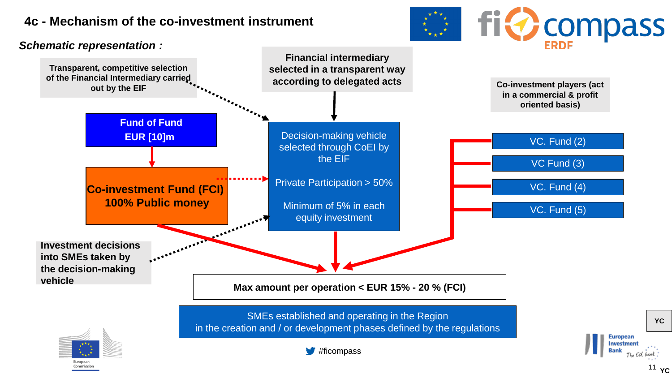# **4c - Mechanism of the co-investment instrument**

*Schematic representation :*

![](_page_10_Picture_2.jpeg)

11 **YC**

**YC**

![](_page_10_Figure_3.jpeg)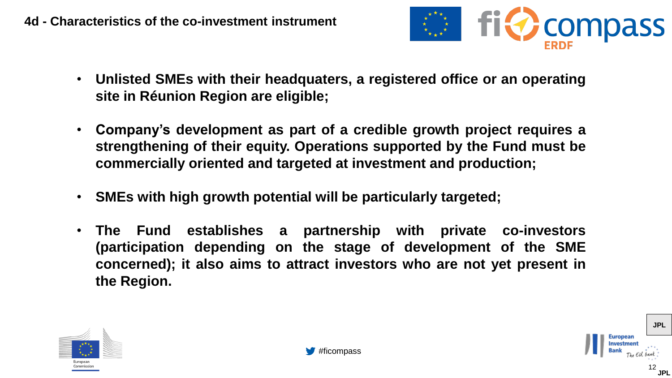![](_page_11_Picture_1.jpeg)

- **Unlisted SMEs with their headquaters, a registered office or an operating site in Réunion Region are eligible;**
- **Company's development as part of a credible growth project requires a strengthening of their equity. Operations supported by the Fund must be commercially oriented and targeted at investment and production;**
- **SMEs with high growth potential will be particularly targeted;**
- **The Fund establishes a partnership with private co-investors (participation depending on the stage of development of the SME concerned); it also aims to attract investors who are not yet present in the Region.**

![](_page_11_Picture_6.jpeg)

![](_page_11_Picture_7.jpeg)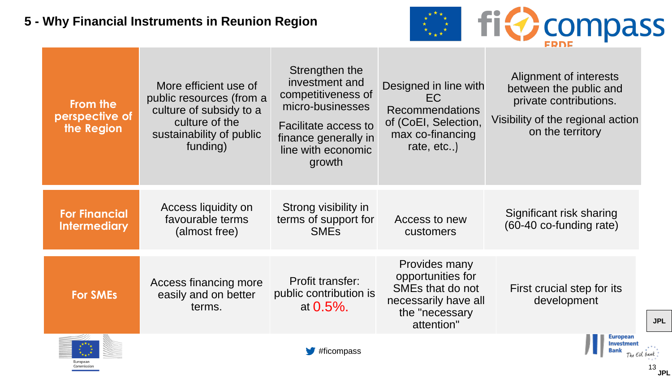# **5 - Why Financial Instruments in Reunion Region**

![](_page_12_Picture_1.jpeg)

13

**JPL**

| From the<br>perspective of<br>the Region    | More efficient use of<br>public resources (from a<br>culture of subsidy to a<br>culture of the<br>sustainability of public<br>funding) | Strengthen the<br>investment and<br>competitiveness of<br>micro-businesses<br><b>Facilitate access to</b><br>finance generally in<br>line with economic<br>growth | Designed in line with<br>EC<br><b>Recommendations</b><br>of (CoEI, Selection,<br>max co-financing<br>rate, etc) | Alignment of interests<br>between the public and<br>private contributions.<br>Visibility of the regional action<br>on the territory |
|---------------------------------------------|----------------------------------------------------------------------------------------------------------------------------------------|-------------------------------------------------------------------------------------------------------------------------------------------------------------------|-----------------------------------------------------------------------------------------------------------------|-------------------------------------------------------------------------------------------------------------------------------------|
| <b>For Financial</b><br><b>Intermediary</b> | Access liquidity on<br>favourable terms<br>(almost free)                                                                               | Strong visibility in<br>terms of support for<br><b>SMEs</b>                                                                                                       | Access to new<br>customers                                                                                      | Significant risk sharing<br>(60-40 co-funding rate)                                                                                 |
| <b>For SMEs</b>                             | Access financing more<br>easily and on better<br>terms.                                                                                | Profit transfer:<br>public contribution is<br>at $0.5\%$ .                                                                                                        | Provides many<br>opportunities for<br>SMEs that do not<br>necessarily have all<br>the "necessary<br>attention"  | First crucial step for its<br>development                                                                                           |
|                                             |                                                                                                                                        | #ficompass                                                                                                                                                        |                                                                                                                 | European<br>Investme                                                                                                                |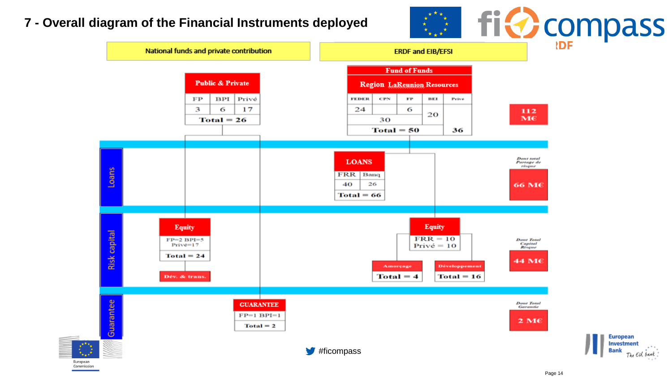# **7 - Overall diagram of the Financial Instruments deployed**

![](_page_13_Figure_1.jpeg)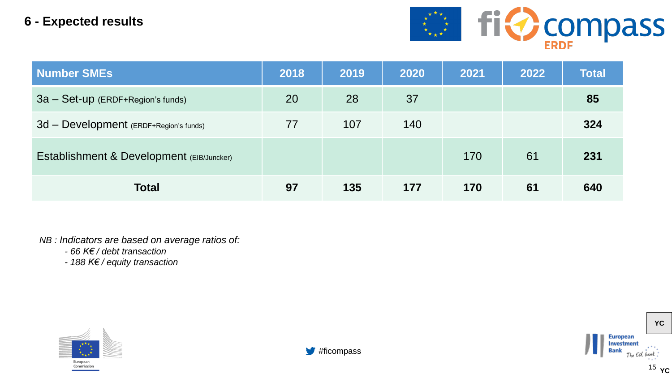### **6 - Expected results**

![](_page_14_Picture_1.jpeg)

| <b>Number SMEs</b>                        | 2018 | 2019 | 2020 | 2021 | 2022 | <b>Total</b> |
|-------------------------------------------|------|------|------|------|------|--------------|
| 3a - Set-up (ERDF+Region's funds)         | 20   | 28   | 37   |      |      | 85           |
| 3d - Development (ERDF+Region's funds)    | 77   | 107  | 140  |      |      | 324          |
| Establishment & Development (EIB/Juncker) |      |      |      | 170  | 61   | 231          |
| <b>Total</b>                              | 97   | 135  | 177  | 170  | 61   | 640          |

#### *NB : Indicators are based on average ratios of:*

*- 66 K€ / debt transaction*

*- 188 K€ / equity transaction*

![](_page_14_Picture_6.jpeg)

![](_page_14_Picture_7.jpeg)

![](_page_14_Picture_8.jpeg)

**YC**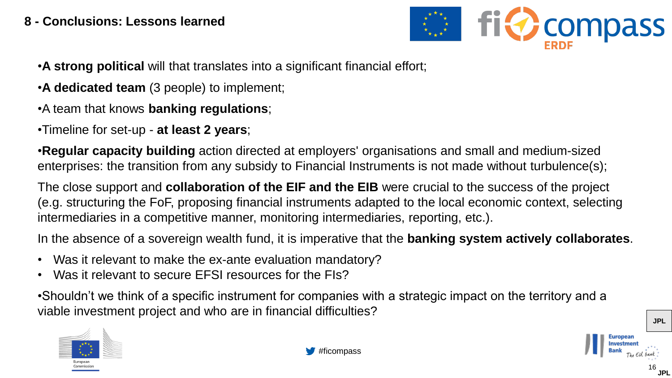#### **8 - Conclusions: Lessons learned**

![](_page_15_Picture_1.jpeg)

•**A strong political** will that translates into a significant financial effort;

- •**A dedicated team** (3 people) to implement;
- •A team that knows **banking regulations**;
- •Timeline for set-up **at least 2 years**;

•**Regular capacity building** action directed at employers' organisations and small and medium-sized enterprises: the transition from any subsidy to Financial Instruments is not made without turbulence(s);

The close support and **collaboration of the EIF and the EIB** were crucial to the success of the project (e.g. structuring the FoF, proposing financial instruments adapted to the local economic context, selecting intermediaries in a competitive manner, monitoring intermediaries, reporting, etc.).

In the absence of a sovereign wealth fund, it is imperative that the **banking system actively collaborates**.

- Was it relevant to make the ex-ante evaluation mandatory?
- Was it relevant to secure EFSI resources for the FIs?

•Shouldn't we think of a specific instrument for companies with a strategic impact on the territory and a viable investment project and who are in financial difficulties?

![](_page_15_Picture_12.jpeg)

**JPL**